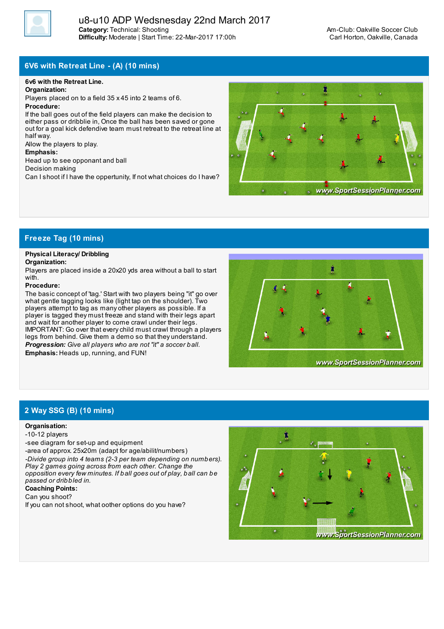

# **6V6 with Retreat Line - (A) (10 mins)**

#### **6v6 with the Retreat Line.**

#### **Organization:**

Players placed on to a field 35 x 45 into 2 teams of 6.

#### **Procedure:**

If the ball goes out of the field players can make the decision to either pass or dribblie in. Once the ball has been saved or gone out for a goal kick defendive team must retreat to the retreat line at half way.

Allow the players to play.

#### **Emphasis:**

Head up to see opponant and ball

Decision making

Can I shoot if I have the oppertunity, If not what choices do I have?



## **Freeze Tag (10 mins)**

## **Physical Literacy/ Dribbling**

#### **Organization:**

Players are placed inside a 20x20 yds area without a ball to start with.

#### **Procedure:**

The basic concept of 'tag.' Start with two players being "it" go over what gentle tagging looks like (light tap on the shoulder). Two players attempt to tag as many other players as possible. If a player is tagged they must freeze and stand with their legs apart and wait for another player to come crawl under their legs. IMPORTANT: Go over that everychild must crawl through a players legs from behind. Give them a demo so that they understand. *Progression: Give all players who are not "it" a soccer ball.* **Emphasis:** Heads up, running, and FUN!



# **2 Way SSG (B) (10 mins)**

#### **Organisation:**

- -10-12 players
- -see diagram for set-up and equipment
- -area of approx. 25x20m (adapt for age/abilit/numbers)

*-Divide group into 4 teams (2-3 per team depending on numbers). Play 2 games going across from each other. Change the opposition every few minutes. If ball goes out of play, ball can be passed or dribbled in.*

# **Coaching Points:**

Can you shoot?

If you can not shoot, what oother options do you have?